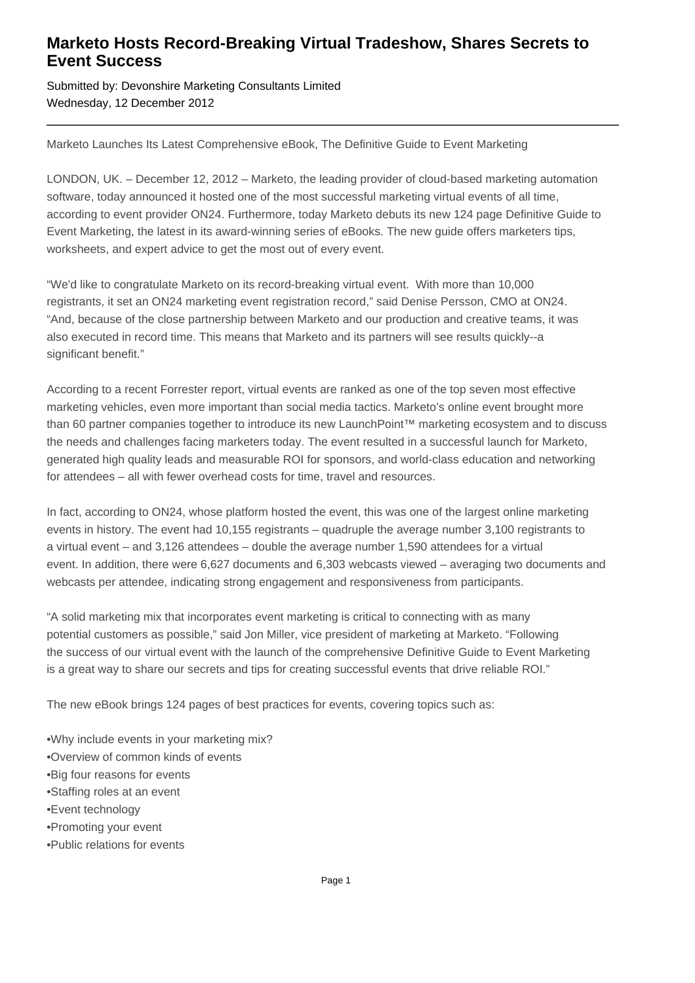## **Marketo Hosts Record-Breaking Virtual Tradeshow, Shares Secrets to Event Success**

Submitted by: Devonshire Marketing Consultants Limited Wednesday, 12 December 2012

Marketo Launches Its Latest Comprehensive eBook, The Definitive Guide to Event Marketing

LONDON, UK. – December 12, 2012 – Marketo, the leading provider of cloud-based marketing automation software, today announced it hosted one of the most successful marketing virtual events of all time, according to event provider ON24. Furthermore, today Marketo debuts its new 124 page Definitive Guide to Event Marketing, the latest in its award-winning series of eBooks. The new guide offers marketers tips, worksheets, and expert advice to get the most out of every event.

"We'd like to congratulate Marketo on its record-breaking virtual event. With more than 10,000 registrants, it set an ON24 marketing event registration record," said Denise Persson, CMO at ON24. "And, because of the close partnership between Marketo and our production and creative teams, it was also executed in record time. This means that Marketo and its partners will see results quickly--a significant benefit."

According to a recent Forrester report, virtual events are ranked as one of the top seven most effective marketing vehicles, even more important than social media tactics. Marketo's online event brought more than 60 partner companies together to introduce its new LaunchPoint™ marketing ecosystem and to discuss the needs and challenges facing marketers today. The event resulted in a successful launch for Marketo, generated high quality leads and measurable ROI for sponsors, and world-class education and networking for attendees – all with fewer overhead costs for time, travel and resources.

In fact, according to ON24, whose platform hosted the event, this was one of the largest online marketing events in history. The event had 10,155 registrants – quadruple the average number 3,100 registrants to a virtual event – and 3,126 attendees – double the average number 1,590 attendees for a virtual event. In addition, there were 6,627 documents and 6,303 webcasts viewed – averaging two documents and webcasts per attendee, indicating strong engagement and responsiveness from participants.

"A solid marketing mix that incorporates event marketing is critical to connecting with as many potential customers as possible," said Jon Miller, vice president of marketing at Marketo. "Following the success of our virtual event with the launch of the comprehensive Definitive Guide to Event Marketing is a great way to share our secrets and tips for creating successful events that drive reliable ROI."

The new eBook brings 124 pages of best practices for events, covering topics such as:

- • Why include events in your marketing mix?
- • Overview of common kinds of events
- • Big four reasons for events
- • Staffing roles at an event
- Event technology
- • Promoting your event
- • Public relations for events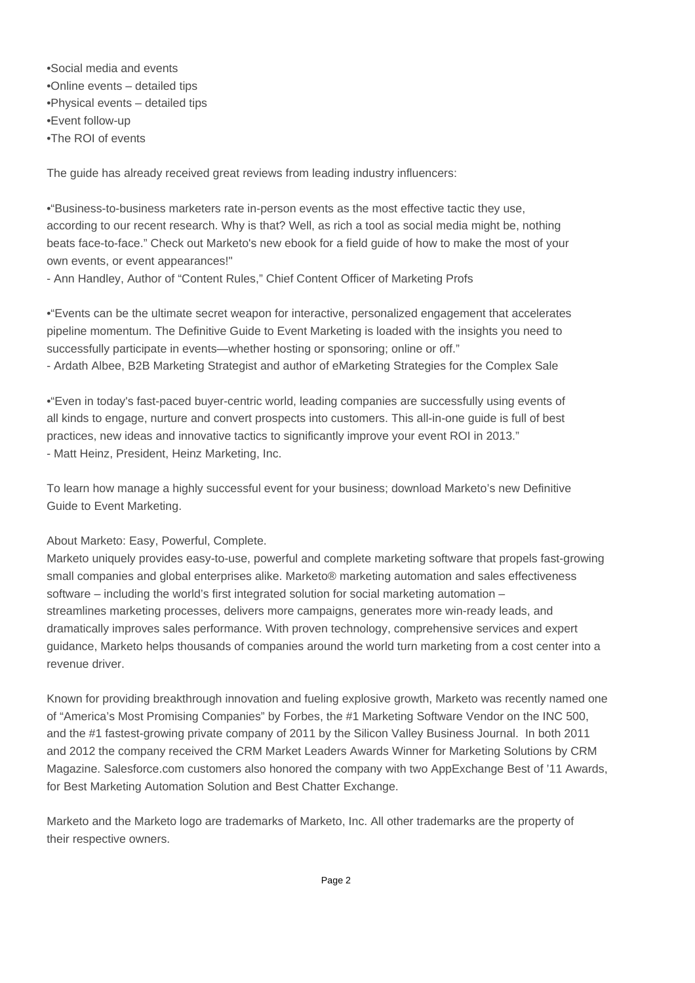- Social media and events
- Online events detailed tips
- Physical events detailed tips
- Event follow-up
- The ROI of events

The guide has already received great reviews from leading industry influencers:

• "Business-to-business marketers rate in-person events as the most effective tactic they use, according to our recent research. Why is that? Well, as rich a tool as social media might be, nothing beats face-to-face." Check out Marketo's new ebook for a field guide of how to make the most of your own events, or event appearances!"

- Ann Handley, Author of "Content Rules," Chief Content Officer of Marketing Profs

• "Events can be the ultimate secret weapon for interactive, personalized engagement that accelerates pipeline momentum. The Definitive Guide to Event Marketing is loaded with the insights you need to successfully participate in events—whether hosting or sponsoring; online or off." - Ardath Albee, B2B Marketing Strategist and author of eMarketing Strategies for the Complex Sale

• "Even in today's fast-paced buyer-centric world, leading companies are successfully using events of all kinds to engage, nurture and convert prospects into customers. This all-in-one guide is full of best practices, new ideas and innovative tactics to significantly improve your event ROI in 2013." - Matt Heinz, President, Heinz Marketing, Inc.

To learn how manage a highly successful event for your business; download Marketo's new Definitive Guide to Event Marketing.

## About Marketo: Easy, Powerful, Complete.

Marketo uniquely provides easy-to-use, powerful and complete marketing software that propels fast-growing small companies and global enterprises alike. Marketo® marketing automation and sales effectiveness software – including the world's first integrated solution for social marketing automation – streamlines marketing processes, delivers more campaigns, generates more win-ready leads, and dramatically improves sales performance. With proven technology, comprehensive services and expert guidance, Marketo helps thousands of companies around the world turn marketing from a cost center into a revenue driver.

Known for providing breakthrough innovation and fueling explosive growth, Marketo was recently named one of "America's Most Promising Companies" by Forbes, the #1 Marketing Software Vendor on the INC 500, and the #1 fastest-growing private company of 2011 by the Silicon Valley Business Journal. In both 2011 and 2012 the company received the CRM Market Leaders Awards Winner for Marketing Solutions by CRM Magazine. Salesforce.com customers also honored the company with two AppExchange Best of '11 Awards, for Best Marketing Automation Solution and Best Chatter Exchange.

Marketo and the Marketo logo are trademarks of Marketo, Inc. All other trademarks are the property of their respective owners.